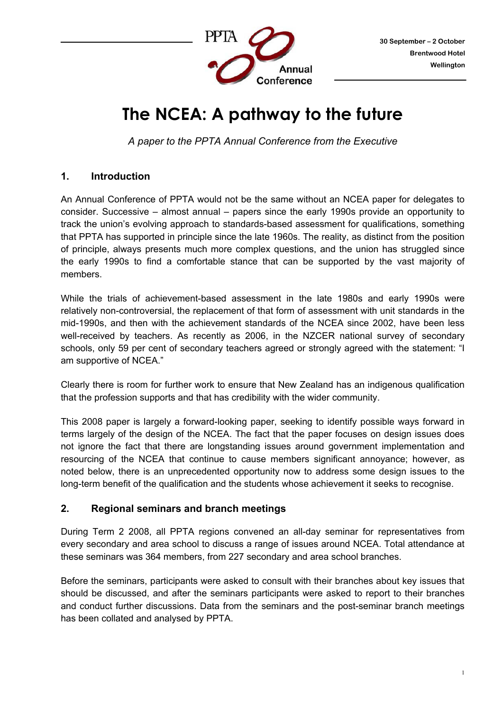

# **The NCEA: A pathway to the future**

*A paper to the PPTA Annual Conference from the Executive* 

# **1. Introduction**

An Annual Conference of PPTA would not be the same without an NCEA paper for delegates to consider. Successive – almost annual – papers since the early 1990s provide an opportunity to track the union's evolving approach to standards-based assessment for qualifications, something that PPTA has supported in principle since the late 1960s. The reality, as distinct from the position of principle, always presents much more complex questions, and the union has struggled since the early 1990s to find a comfortable stance that can be supported by the vast majority of members.

While the trials of achievement-based assessment in the late 1980s and early 1990s were relatively non-controversial, the replacement of that form of assessment with unit standards in the mid-1990s, and then with the achievement standards of the NCEA since 2002, have been less well-received by teachers. As recently as 2006, in the NZCER national survey of secondary schools, only 59 per cent of secondary teachers agreed or strongly agreed with the statement: "I am supportive of NCEA."

Clearly there is room for further work to ensure that New Zealand has an indigenous qualification that the profession supports and that has credibility with the wider community.

This 2008 paper is largely a forward-looking paper, seeking to identify possible ways forward in terms largely of the design of the NCEA. The fact that the paper focuses on design issues does not ignore the fact that there are longstanding issues around government implementation and resourcing of the NCEA that continue to cause members significant annoyance; however, as noted below, there is an unprecedented opportunity now to address some design issues to the long-term benefit of the qualification and the students whose achievement it seeks to recognise.

# **2. Regional seminars and branch meetings**

During Term 2 2008, all PPTA regions convened an all-day seminar for representatives from every secondary and area school to discuss a range of issues around NCEA. Total attendance at these seminars was 364 members, from 227 secondary and area school branches.

Before the seminars, participants were asked to consult with their branches about key issues that should be discussed, and after the seminars participants were asked to report to their branches and conduct further discussions. Data from the seminars and the post-seminar branch meetings has been collated and analysed by PPTA.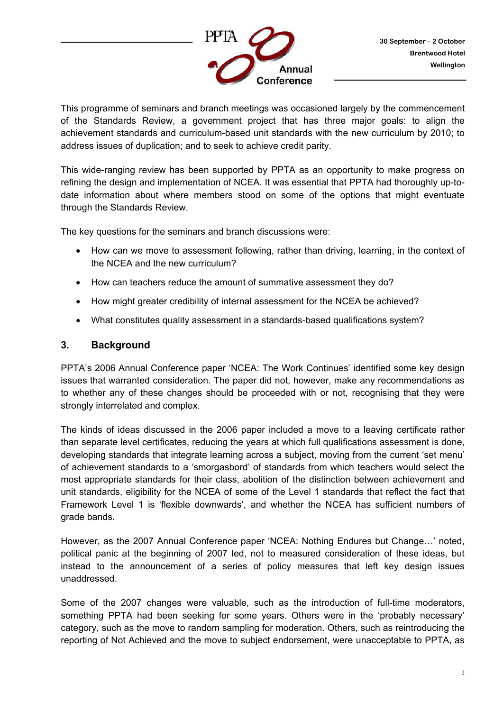

This programme of seminars and branch meetings was occasioned largely by the commencement of the Standards Review, a government project that has three major goals: to align the achievement standards and curriculum-based unit standards with the new curriculum by 2010; to address issues of duplication; and to seek to achieve credit parity.

This wide-ranging review has been supported by PPTA as an opportunity to make progress on refining the design and implementation of NCEA. It was essential that PPTA had thoroughly up-todate information about where members stood on some of the options that might eventuate through the Standards Review.

The key questions for the seminars and branch discussions were:

- How can we move to assessment following, rather than driving, learning, in the context of the NCEA and the new curriculum?
- How can teachers reduce the amount of summative assessment they do?
- How might greater credibility of internal assessment for the NCEA be achieved?
- What constitutes quality assessment in a standards-based qualifications system?

#### **3. Background**

PPTA's 2006 Annual Conference paper 'NCEA: The Work Continues' identified some key design issues that warranted consideration. The paper did not, however, make any recommendations as to whether any of these changes should be proceeded with or not, recognising that they were strongly interrelated and complex.

The kinds of ideas discussed in the 2006 paper included a move to a leaving certificate rather than separate level certificates, reducing the years at which full qualifications assessment is done, developing standards that integrate learning across a subject, moving from the current 'set menu' of achievement standards to a 'smorgasbord' of standards from which teachers would select the most appropriate standards for their class, abolition of the distinction between achievement and unit standards, eligibility for the NCEA of some of the Level 1 standards that reflect the fact that Framework Level 1 is 'flexible downwards', and whether the NCEA has sufficient numbers of grade bands.

However, as the 2007 Annual Conference paper 'NCEA: Nothing Endures but Change…' noted, political panic at the beginning of 2007 led, not to measured consideration of these ideas, but instead to the announcement of a series of policy measures that left key design issues unaddressed.

Some of the 2007 changes were valuable, such as the introduction of full-time moderators, something PPTA had been seeking for some years. Others were in the 'probably necessary' category, such as the move to random sampling for moderation. Others, such as reintroducing the reporting of Not Achieved and the move to subject endorsement, were unacceptable to PPTA, as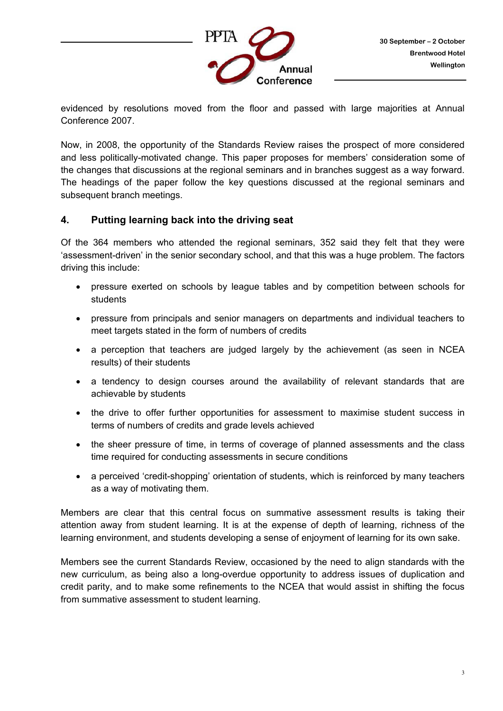

evidenced by resolutions moved from the floor and passed with large majorities at Annual Conference 2007.

Now, in 2008, the opportunity of the Standards Review raises the prospect of more considered and less politically-motivated change. This paper proposes for members' consideration some of the changes that discussions at the regional seminars and in branches suggest as a way forward. The headings of the paper follow the key questions discussed at the regional seminars and subsequent branch meetings.

#### **4. Putting learning back into the driving seat**

Of the 364 members who attended the regional seminars, 352 said they felt that they were 'assessment-driven' in the senior secondary school, and that this was a huge problem. The factors driving this include:

- pressure exerted on schools by league tables and by competition between schools for students
- pressure from principals and senior managers on departments and individual teachers to meet targets stated in the form of numbers of credits
- a perception that teachers are judged largely by the achievement (as seen in NCEA results) of their students
- a tendency to design courses around the availability of relevant standards that are achievable by students
- the drive to offer further opportunities for assessment to maximise student success in terms of numbers of credits and grade levels achieved
- the sheer pressure of time, in terms of coverage of planned assessments and the class time required for conducting assessments in secure conditions
- a perceived 'credit-shopping' orientation of students, which is reinforced by many teachers as a way of motivating them.

Members are clear that this central focus on summative assessment results is taking their attention away from student learning. It is at the expense of depth of learning, richness of the learning environment, and students developing a sense of enjoyment of learning for its own sake.

Members see the current Standards Review, occasioned by the need to align standards with the new curriculum, as being also a long-overdue opportunity to address issues of duplication and credit parity, and to make some refinements to the NCEA that would assist in shifting the focus from summative assessment to student learning.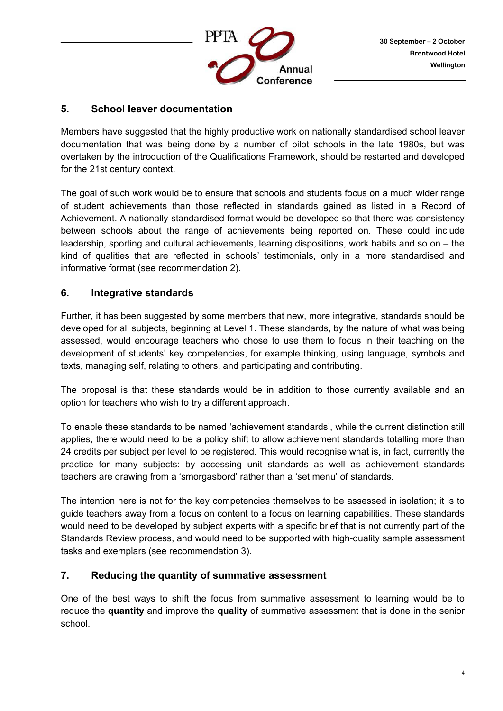

# **5. School leaver documentation**

Members have suggested that the highly productive work on nationally standardised school leaver documentation that was being done by a number of pilot schools in the late 1980s, but was overtaken by the introduction of the Qualifications Framework, should be restarted and developed for the 21st century context.

The goal of such work would be to ensure that schools and students focus on a much wider range of student achievements than those reflected in standards gained as listed in a Record of Achievement. A nationally-standardised format would be developed so that there was consistency between schools about the range of achievements being reported on. These could include leadership, sporting and cultural achievements, learning dispositions, work habits and so on – the kind of qualities that are reflected in schools' testimonials, only in a more standardised and informative format (see recommendation 2).

#### **6. Integrative standards**

Further, it has been suggested by some members that new, more integrative, standards should be developed for all subjects, beginning at Level 1. These standards, by the nature of what was being assessed, would encourage teachers who chose to use them to focus in their teaching on the development of students' key competencies, for example thinking, using language, symbols and texts, managing self, relating to others, and participating and contributing.

The proposal is that these standards would be in addition to those currently available and an option for teachers who wish to try a different approach.

To enable these standards to be named 'achievement standards', while the current distinction still applies, there would need to be a policy shift to allow achievement standards totalling more than 24 credits per subject per level to be registered. This would recognise what is, in fact, currently the practice for many subjects: by accessing unit standards as well as achievement standards teachers are drawing from a 'smorgasbord' rather than a 'set menu' of standards.

The intention here is not for the key competencies themselves to be assessed in isolation; it is to guide teachers away from a focus on content to a focus on learning capabilities. These standards would need to be developed by subject experts with a specific brief that is not currently part of the Standards Review process, and would need to be supported with high-quality sample assessment tasks and exemplars (see recommendation 3).

# **7. Reducing the quantity of summative assessment**

One of the best ways to shift the focus from summative assessment to learning would be to reduce the **quantity** and improve the **quality** of summative assessment that is done in the senior school.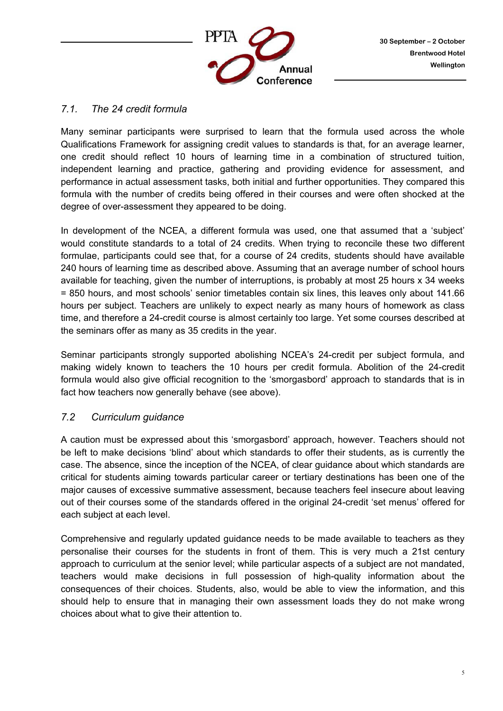

# *7.1. The 24 credit formula*

Many seminar participants were surprised to learn that the formula used across the whole Qualifications Framework for assigning credit values to standards is that, for an average learner, one credit should reflect 10 hours of learning time in a combination of structured tuition, independent learning and practice, gathering and providing evidence for assessment, and performance in actual assessment tasks, both initial and further opportunities. They compared this formula with the number of credits being offered in their courses and were often shocked at the degree of over-assessment they appeared to be doing.

In development of the NCEA, a different formula was used, one that assumed that a 'subject' would constitute standards to a total of 24 credits. When trying to reconcile these two different formulae, participants could see that, for a course of 24 credits, students should have available 240 hours of learning time as described above. Assuming that an average number of school hours available for teaching, given the number of interruptions, is probably at most 25 hours x 34 weeks = 850 hours, and most schools' senior timetables contain six lines, this leaves only about 141.66 hours per subject. Teachers are unlikely to expect nearly as many hours of homework as class time, and therefore a 24-credit course is almost certainly too large. Yet some courses described at the seminars offer as many as 35 credits in the year.

Seminar participants strongly supported abolishing NCEA's 24-credit per subject formula, and making widely known to teachers the 10 hours per credit formula. Abolition of the 24-credit formula would also give official recognition to the 'smorgasbord' approach to standards that is in fact how teachers now generally behave (see above).

# *7.2 Curriculum guidance*

A caution must be expressed about this 'smorgasbord' approach, however. Teachers should not be left to make decisions 'blind' about which standards to offer their students, as is currently the case. The absence, since the inception of the NCEA, of clear guidance about which standards are critical for students aiming towards particular career or tertiary destinations has been one of the major causes of excessive summative assessment, because teachers feel insecure about leaving out of their courses some of the standards offered in the original 24-credit 'set menus' offered for each subject at each level.

Comprehensive and regularly updated guidance needs to be made available to teachers as they personalise their courses for the students in front of them. This is very much a 21st century approach to curriculum at the senior level; while particular aspects of a subject are not mandated, teachers would make decisions in full possession of high-quality information about the consequences of their choices. Students, also, would be able to view the information, and this should help to ensure that in managing their own assessment loads they do not make wrong choices about what to give their attention to.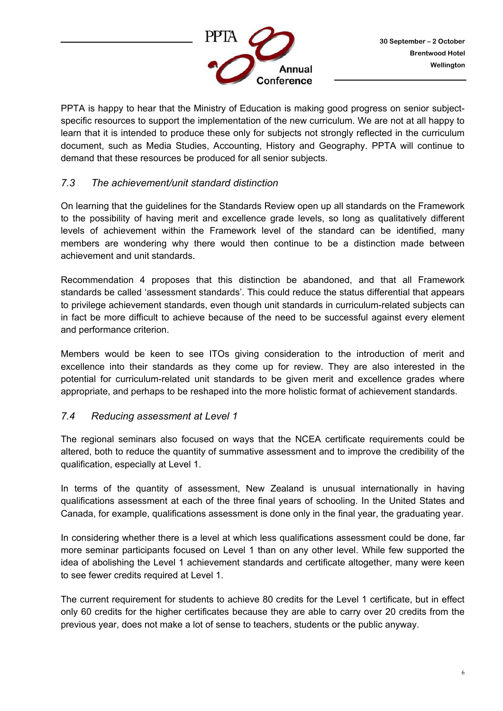

PPTA is happy to hear that the Ministry of Education is making good progress on senior subjectspecific resources to support the implementation of the new curriculum. We are not at all happy to learn that it is intended to produce these only for subjects not strongly reflected in the curriculum document, such as Media Studies, Accounting, History and Geography. PPTA will continue to demand that these resources be produced for all senior subjects.

# *7.3 The achievement/unit standard distinction*

On learning that the guidelines for the Standards Review open up all standards on the Framework to the possibility of having merit and excellence grade levels, so long as qualitatively different levels of achievement within the Framework level of the standard can be identified, many members are wondering why there would then continue to be a distinction made between achievement and unit standards.

Recommendation 4 proposes that this distinction be abandoned, and that all Framework standards be called 'assessment standards'. This could reduce the status differential that appears to privilege achievement standards, even though unit standards in curriculum-related subjects can in fact be more difficult to achieve because of the need to be successful against every element and performance criterion.

Members would be keen to see ITOs giving consideration to the introduction of merit and excellence into their standards as they come up for review. They are also interested in the potential for curriculum-related unit standards to be given merit and excellence grades where appropriate, and perhaps to be reshaped into the more holistic format of achievement standards.

#### *7.4 Reducing assessment at Level 1*

The regional seminars also focused on ways that the NCEA certificate requirements could be altered, both to reduce the quantity of summative assessment and to improve the credibility of the qualification, especially at Level 1.

In terms of the quantity of assessment, New Zealand is unusual internationally in having qualifications assessment at each of the three final years of schooling. In the United States and Canada, for example, qualifications assessment is done only in the final year, the graduating year.

In considering whether there is a level at which less qualifications assessment could be done, far more seminar participants focused on Level 1 than on any other level. While few supported the idea of abolishing the Level 1 achievement standards and certificate altogether, many were keen to see fewer credits required at Level 1.

The current requirement for students to achieve 80 credits for the Level 1 certificate, but in effect only 60 credits for the higher certificates because they are able to carry over 20 credits from the previous year, does not make a lot of sense to teachers, students or the public anyway.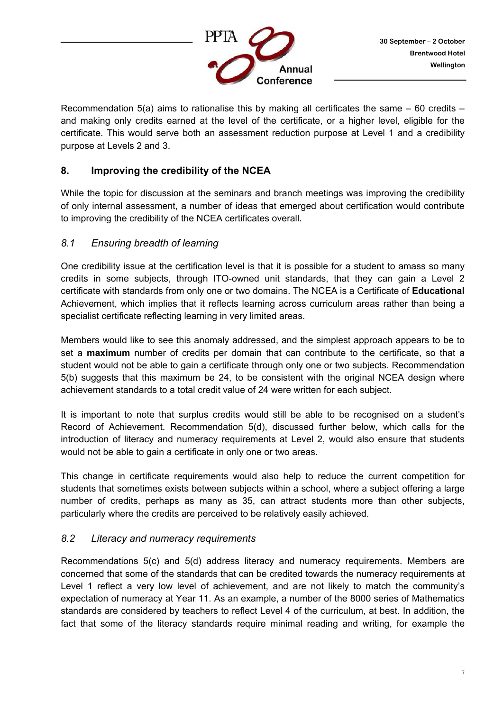

Recommendation  $5(a)$  aims to rationalise this by making all certificates the same – 60 credits – and making only credits earned at the level of the certificate, or a higher level, eligible for the certificate. This would serve both an assessment reduction purpose at Level 1 and a credibility purpose at Levels 2 and 3.

# **8. Improving the credibility of the NCEA**

While the topic for discussion at the seminars and branch meetings was improving the credibility of only internal assessment, a number of ideas that emerged about certification would contribute to improving the credibility of the NCEA certificates overall.

# *8.1 Ensuring breadth of learning*

One credibility issue at the certification level is that it is possible for a student to amass so many credits in some subjects, through ITO-owned unit standards, that they can gain a Level 2 certificate with standards from only one or two domains. The NCEA is a Certificate of **Educational** Achievement, which implies that it reflects learning across curriculum areas rather than being a specialist certificate reflecting learning in very limited areas.

Members would like to see this anomaly addressed, and the simplest approach appears to be to set a **maximum** number of credits per domain that can contribute to the certificate, so that a student would not be able to gain a certificate through only one or two subjects. Recommendation 5(b) suggests that this maximum be 24, to be consistent with the original NCEA design where achievement standards to a total credit value of 24 were written for each subject.

It is important to note that surplus credits would still be able to be recognised on a student's Record of Achievement. Recommendation 5(d), discussed further below, which calls for the introduction of literacy and numeracy requirements at Level 2, would also ensure that students would not be able to gain a certificate in only one or two areas.

This change in certificate requirements would also help to reduce the current competition for students that sometimes exists between subjects within a school, where a subject offering a large number of credits, perhaps as many as 35, can attract students more than other subjects, particularly where the credits are perceived to be relatively easily achieved.

# *8.2 Literacy and numeracy requirements*

Recommendations 5(c) and 5(d) address literacy and numeracy requirements. Members are concerned that some of the standards that can be credited towards the numeracy requirements at Level 1 reflect a very low level of achievement, and are not likely to match the community's expectation of numeracy at Year 11. As an example, a number of the 8000 series of Mathematics standards are considered by teachers to reflect Level 4 of the curriculum, at best. In addition, the fact that some of the literacy standards require minimal reading and writing, for example the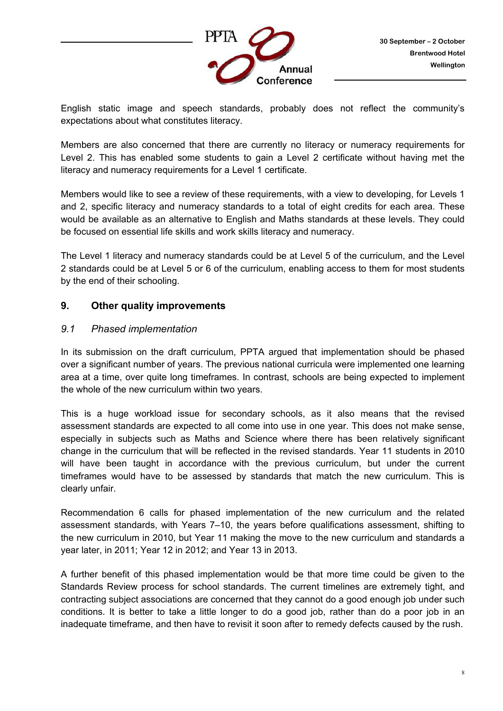

English static image and speech standards, probably does not reflect the community's expectations about what constitutes literacy.

Members are also concerned that there are currently no literacy or numeracy requirements for Level 2. This has enabled some students to gain a Level 2 certificate without having met the literacy and numeracy requirements for a Level 1 certificate.

Members would like to see a review of these requirements, with a view to developing, for Levels 1 and 2, specific literacy and numeracy standards to a total of eight credits for each area. These would be available as an alternative to English and Maths standards at these levels. They could be focused on essential life skills and work skills literacy and numeracy.

The Level 1 literacy and numeracy standards could be at Level 5 of the curriculum, and the Level 2 standards could be at Level 5 or 6 of the curriculum, enabling access to them for most students by the end of their schooling.

# **9. Other quality improvements**

#### *9.1 Phased implementation*

In its submission on the draft curriculum, PPTA argued that implementation should be phased over a significant number of years. The previous national curricula were implemented one learning area at a time, over quite long timeframes. In contrast, schools are being expected to implement the whole of the new curriculum within two years.

This is a huge workload issue for secondary schools, as it also means that the revised assessment standards are expected to all come into use in one year. This does not make sense, especially in subjects such as Maths and Science where there has been relatively significant change in the curriculum that will be reflected in the revised standards. Year 11 students in 2010 will have been taught in accordance with the previous curriculum, but under the current timeframes would have to be assessed by standards that match the new curriculum. This is clearly unfair.

Recommendation 6 calls for phased implementation of the new curriculum and the related assessment standards, with Years 7–10, the years before qualifications assessment, shifting to the new curriculum in 2010, but Year 11 making the move to the new curriculum and standards a year later, in 2011; Year 12 in 2012; and Year 13 in 2013.

A further benefit of this phased implementation would be that more time could be given to the Standards Review process for school standards. The current timelines are extremely tight, and contracting subject associations are concerned that they cannot do a good enough job under such conditions. It is better to take a little longer to do a good job, rather than do a poor job in an inadequate timeframe, and then have to revisit it soon after to remedy defects caused by the rush.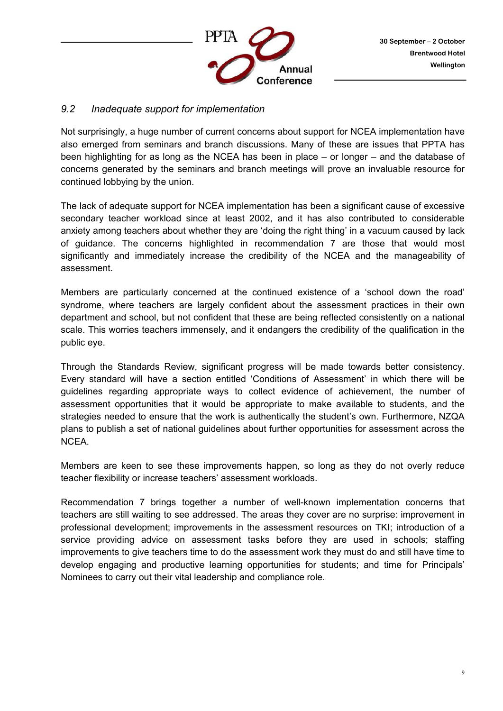

# *9.2 Inadequate support for implementation*

Not surprisingly, a huge number of current concerns about support for NCEA implementation have also emerged from seminars and branch discussions. Many of these are issues that PPTA has been highlighting for as long as the NCEA has been in place – or longer – and the database of concerns generated by the seminars and branch meetings will prove an invaluable resource for continued lobbying by the union.

The lack of adequate support for NCEA implementation has been a significant cause of excessive secondary teacher workload since at least 2002, and it has also contributed to considerable anxiety among teachers about whether they are 'doing the right thing' in a vacuum caused by lack of guidance. The concerns highlighted in recommendation 7 are those that would most significantly and immediately increase the credibility of the NCEA and the manageability of assessment.

Members are particularly concerned at the continued existence of a 'school down the road' syndrome, where teachers are largely confident about the assessment practices in their own department and school, but not confident that these are being reflected consistently on a national scale. This worries teachers immensely, and it endangers the credibility of the qualification in the public eye.

Through the Standards Review, significant progress will be made towards better consistency. Every standard will have a section entitled 'Conditions of Assessment' in which there will be guidelines regarding appropriate ways to collect evidence of achievement, the number of assessment opportunities that it would be appropriate to make available to students, and the strategies needed to ensure that the work is authentically the student's own. Furthermore, NZQA plans to publish a set of national guidelines about further opportunities for assessment across the NCEA.

Members are keen to see these improvements happen, so long as they do not overly reduce teacher flexibility or increase teachers' assessment workloads.

Recommendation 7 brings together a number of well-known implementation concerns that teachers are still waiting to see addressed. The areas they cover are no surprise: improvement in professional development; improvements in the assessment resources on TKI; introduction of a service providing advice on assessment tasks before they are used in schools; staffing improvements to give teachers time to do the assessment work they must do and still have time to develop engaging and productive learning opportunities for students; and time for Principals' Nominees to carry out their vital leadership and compliance role.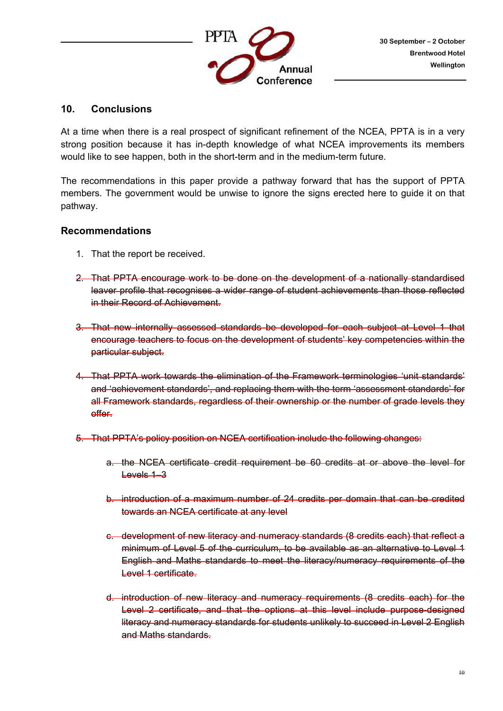

#### **10. Conclusions**

At a time when there is a real prospect of significant refinement of the NCEA, PPTA is in a very strong position because it has in-depth knowledge of what NCEA improvements its members would like to see happen, both in the short-term and in the medium-term future.

The recommendations in this paper provide a pathway forward that has the support of PPTA members. The government would be unwise to ignore the signs erected here to guide it on that pathway.

#### **Recommendations**

- 1. That the report be received.
- 2. That PPTA encourage work to be done on the development of a nationally standardised leaver profile that recognises a wider range of student achievements than those reflected in their Record of Achievement.
- 3. That new internally assessed standards be developed for each subject at Level 1 that encourage teachers to focus on the development of students' key competencies within the particular subject.
- 4. That PPTA work towards the elimination of the Framework terminologies 'unit standards' and 'achievement standards', and replacing them with the term 'assessment standards' for all Framework standards, regardless of their ownership or the number of grade levels they offer.
- 5. That PPTA's policy position on NCEA certification include the following changes:
	- a. the NCEA certificate credit requirement be 60 credits at or above the level for Levels 1–3
	- b. introduction of a maximum number of 24 credits per domain that can be credited towards an NCEA certificate at any level
	- c. development of new literacy and numeracy standards (8 credits each) that reflect a minimum of Level 5 of the curriculum, to be available as an alternative to Level 1 English and Maths standards to meet the literacy/numeracy requirements of the Level 1 certificate.
	- d. introduction of new literacy and numeracy requirements (8 credits each) for the Level 2 certificate, and that the options at this level include purpose designed literacy and numeracy standards for students unlikely to succeed in Level 2 English and Maths standards.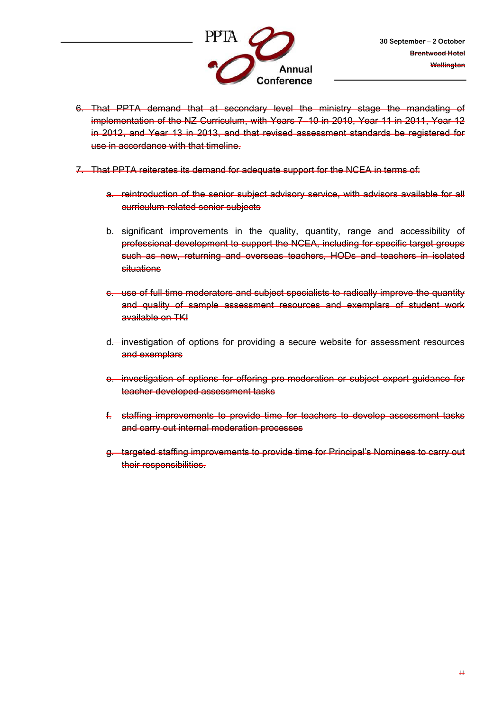

- 6. That PPTA demand that at secondary level the ministry stage the mandating of implementation of the NZ Curriculum, with Years 7–10 in 2010, Year 11 in 2011, Year 12 in 2012, and Year 13 in 2013, and that revised assessment standards be registered for use in accordance with that timeline.
- 7. That PPTA reiterates its demand for adequate support for the NCEA in terms of:
	- a. reintroduction of the senior subject advisory service, with advisors available for all curriculum-related senior subjects
	- b. significant improvements in the quality, quantity, range and accessibility of professional development to support the NCEA, including for specific target groups such as new, returning and overseas teachers, HODs and teachers in isolated situations
	- c. use of full-time moderators and subject specialists to radically improve the quantity and quality of sample assessment resources and exemplars of student work available on TKI
	- d. investigation of options for providing a secure website for assessment resources and exemplars
	- e. investigation of options for offering pre-moderation or subject expert guidance for teacher-developed assessment tasks
	- f. staffing improvements to provide time for teachers to develop assessment tasks and carry out internal moderation processes
	- g. targeted staffing improvements to provide time for Principal's Nominees to carry out their responsibilities.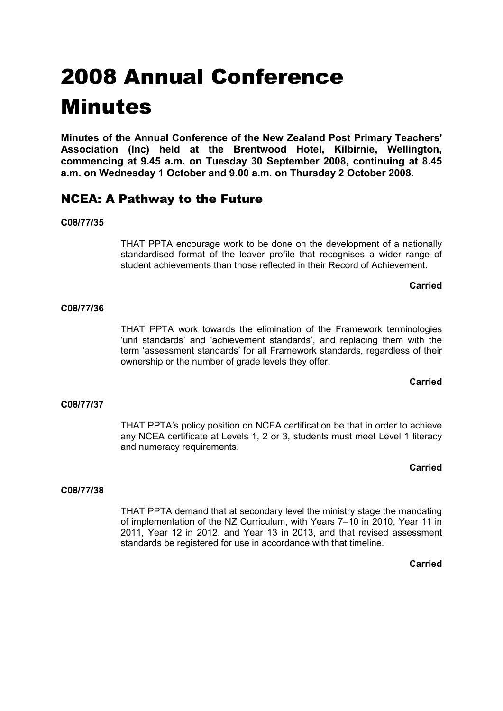# 2008 Annual Conference Minutes

**Minutes of the Annual Conference of the New Zealand Post Primary Teachers' Association (Inc) held at the Brentwood Hotel, Kilbirnie, Wellington, commencing at 9.45 a.m. on Tuesday 30 September 2008, continuing at 8.45 a.m. on Wednesday 1 October and 9.00 a.m. on Thursday 2 October 2008.**

# NCEA: A Pathway to the Future

#### **C08/77/35**

THAT PPTA encourage work to be done on the development of a nationally standardised format of the leaver profile that recognises a wider range of student achievements than those reflected in their Record of Achievement.

#### **Carried**

#### **C08/77/36**

THAT PPTA work towards the elimination of the Framework terminologies 'unit standards' and 'achievement standards', and replacing them with the term 'assessment standards' for all Framework standards, regardless of their ownership or the number of grade levels they offer.

#### **Carried**

#### **C08/77/37**

THAT PPTA's policy position on NCEA certification be that in order to achieve any NCEA certificate at Levels 1, 2 or 3, students must meet Level 1 literacy and numeracy requirements.

#### **Carried**

#### **C08/77/38**

THAT PPTA demand that at secondary level the ministry stage the mandating of implementation of the NZ Curriculum, with Years 7–10 in 2010, Year 11 in 2011, Year 12 in 2012, and Year 13 in 2013, and that revised assessment standards be registered for use in accordance with that timeline.

#### **Carried**